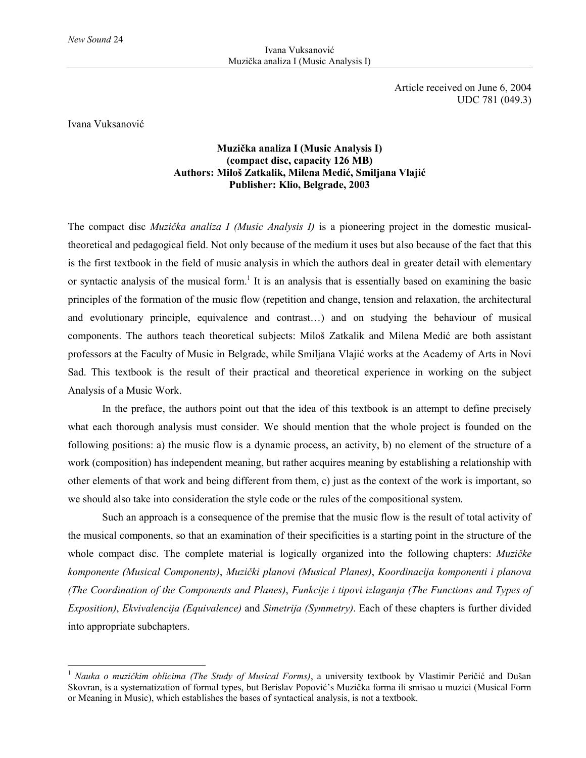Article received on June 6, 2004 UDC 781 (049.3)

Ivana Vuksanović

 $\overline{a}$ 

## **Muzička analiza I (Music Analysis I) (compact disc, capacity 126 MB) Authors: Miloš Zatkalik, Milena Medić, Smiljana Vlajić Publisher: Klio, Belgrade, 2003**

The compact disc *Muzička analiza I (Music Analysis I)* is a pioneering project in the domestic musicaltheoretical and pedagogical field. Not only because of the medium it uses but also because of the fact that this is the first textbook in the field of music analysis in which the authors deal in greater detail with elementary or syntactic analysis of the musical form.<sup>1</sup> It is an analysis that is essentially based on examining the basic principles of the formation of the music flow (repetition and change, tension and relaxation, the architectural and evolutionary principle, equivalence and contrast…) and on studying the behaviour of musical components. The authors teach theoretical subjects: Miloš Zatkalik and Milena Medić are both assistant professors at the Faculty of Music in Belgrade, while Smiljana Vlajić works at the Academy of Arts in Novi Sad. This textbook is the result of their practical and theoretical experience in working on the subject Analysis of a Music Work.

In the preface, the authors point out that the idea of this textbook is an attempt to define precisely what each thorough analysis must consider. We should mention that the whole project is founded on the following positions: a) the music flow is a dynamic process, an activity, b) no element of the structure of a work (composition) has independent meaning, but rather acquires meaning by establishing a relationship with other elements of that work and being different from them, c) just as the context of the work is important, so we should also take into consideration the style code or the rules of the compositional system.

Such an approach is a consequence of the premise that the music flow is the result of total activity of the musical components, so that an examination of their specificities is a starting point in the structure of the whole compact disc. The complete material is logically organized into the following chapters: *Muzičke komponente (Musical Components)*, *Muzički planovi (Musical Planes)*, *Koordinacija komponenti i planova (The Coordination of the Components and Planes)*, *Funkcije i tipovi izlaganja (The Functions and Types of Exposition)*, *Ekvivalencija (Equivalence)* and *Simetrija (Symmetry)*. Each of these chapters is further divided into appropriate subchapters.

<sup>1</sup> *Nauka o muzičkim oblicima (The Study of Musical Forms)*, a university textbook by Vlastimir Peričić and Dušan Skovran, is a systematization of formal types, but Berislav Popović's Muzička forma ili smisao u muzici (Musical Form or Meaning in Music), which establishes the bases of syntactical analysis, is not a textbook.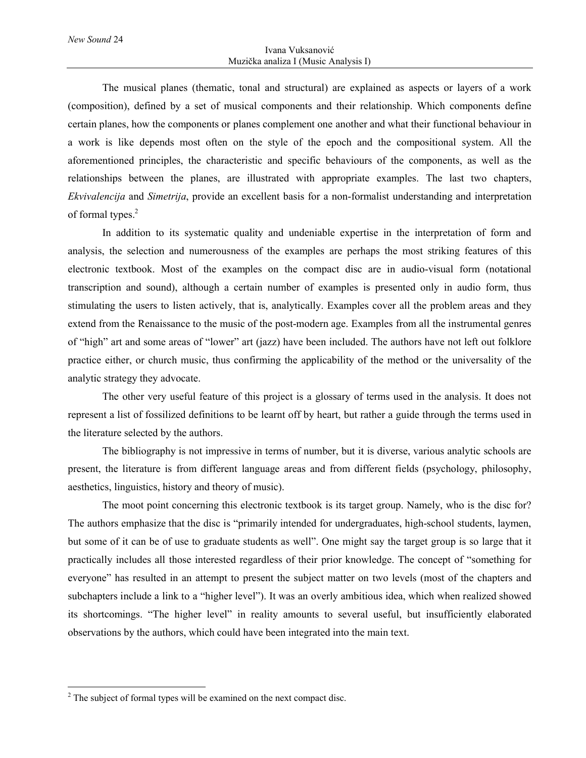The musical planes (thematic, tonal and structural) are explained as aspects or layers of a work (composition), defined by a set of musical components and their relationship. Which components define certain planes, how the components or planes complement one another and what their functional behaviour in a work is like depends most often on the style of the epoch and the compositional system. All the aforementioned principles, the characteristic and specific behaviours of the components, as well as the relationships between the planes, are illustrated with appropriate examples. The last two chapters, *Ekvivalencija* and *Simetrija*, provide an excellent basis for a non-formalist understanding and interpretation of formal types.<sup>2</sup>

In addition to its systematic quality and undeniable expertise in the interpretation of form and analysis, the selection and numerousness of the examples are perhaps the most striking features of this electronic textbook. Most of the examples on the compact disc are in audio-visual form (notational transcription and sound), although a certain number of examples is presented only in audio form, thus stimulating the users to listen actively, that is, analytically. Examples cover all the problem areas and they extend from the Renaissance to the music of the post-modern age. Examples from all the instrumental genres of "high" art and some areas of "lower" art (jazz) have been included. The authors have not left out folklore practice either, or church music, thus confirming the applicability of the method or the universality of the analytic strategy they advocate.

The other very useful feature of this project is a glossary of terms used in the analysis. It does not represent a list of fossilized definitions to be learnt off by heart, but rather a guide through the terms used in the literature selected by the authors.

The bibliography is not impressive in terms of number, but it is diverse, various analytic schools are present, the literature is from different language areas and from different fields (psychology, philosophy, aesthetics, linguistics, history and theory of music).

The moot point concerning this electronic textbook is its target group. Namely, who is the disc for? The authors emphasize that the disc is "primarily intended for undergraduates, high-school students, laymen, but some of it can be of use to graduate students as well". One might say the target group is so large that it practically includes all those interested regardless of their prior knowledge. The concept of "something for everyone" has resulted in an attempt to present the subject matter on two levels (most of the chapters and subchapters include a link to a "higher level"). It was an overly ambitious idea, which when realized showed its shortcomings. "The higher level" in reality amounts to several useful, but insufficiently elaborated observations by the authors, which could have been integrated into the main text.

 $\overline{a}$ 

 $2^2$  The subject of formal types will be examined on the next compact disc.